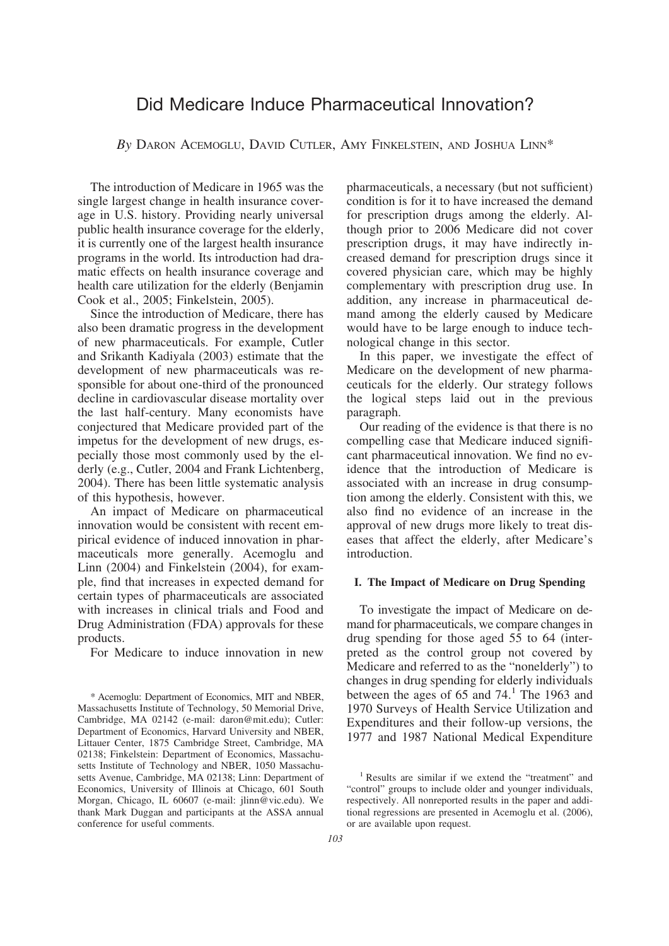# Did Medicare Induce Pharmaceutical Innovation?

*By* DARON ACEMOGLU, DAVID CUTLER, AMY FINKELSTEIN, AND JOSHUA LINN\*

The introduction of Medicare in 1965 was the single largest change in health insurance coverage in U.S. history. Providing nearly universal public health insurance coverage for the elderly, it is currently one of the largest health insurance programs in the world. Its introduction had dramatic effects on health insurance coverage and health care utilization for the elderly (Benjamin Cook et al., 2005; Finkelstein, 2005).

Since the introduction of Medicare, there has also been dramatic progress in the development of new pharmaceuticals. For example, Cutler and Srikanth Kadiyala (2003) estimate that the development of new pharmaceuticals was responsible for about one-third of the pronounced decline in cardiovascular disease mortality over the last half-century. Many economists have conjectured that Medicare provided part of the impetus for the development of new drugs, especially those most commonly used by the elderly (e.g., Cutler, 2004 and Frank Lichtenberg, 2004). There has been little systematic analysis of this hypothesis, however.

An impact of Medicare on pharmaceutical innovation would be consistent with recent empirical evidence of induced innovation in pharmaceuticals more generally. Acemoglu and Linn (2004) and Finkelstein (2004), for example, find that increases in expected demand for certain types of pharmaceuticals are associated with increases in clinical trials and Food and Drug Administration (FDA) approvals for these products.

For Medicare to induce innovation in new

pharmaceuticals, a necessary (but not sufficient) condition is for it to have increased the demand for prescription drugs among the elderly. Although prior to 2006 Medicare did not cover prescription drugs, it may have indirectly increased demand for prescription drugs since it covered physician care, which may be highly complementary with prescription drug use. In addition, any increase in pharmaceutical demand among the elderly caused by Medicare would have to be large enough to induce technological change in this sector.

In this paper, we investigate the effect of Medicare on the development of new pharmaceuticals for the elderly. Our strategy follows the logical steps laid out in the previous paragraph.

Our reading of the evidence is that there is no compelling case that Medicare induced significant pharmaceutical innovation. We find no evidence that the introduction of Medicare is associated with an increase in drug consumption among the elderly. Consistent with this, we also find no evidence of an increase in the approval of new drugs more likely to treat diseases that affect the elderly, after Medicare's introduction.

#### **I. The Impact of Medicare on Drug Spending**

To investigate the impact of Medicare on demand for pharmaceuticals, we compare changes in drug spending for those aged 55 to 64 (interpreted as the control group not covered by Medicare and referred to as the "nonelderly") to changes in drug spending for elderly individuals between the ages of  $65$  and  $74<sup>1</sup>$ . The 1963 and 1970 Surveys of Health Service Utilization and Expenditures and their follow-up versions, the 1977 and 1987 National Medical Expenditure

<sup>\*</sup> Acemoglu: Department of Economics, MIT and NBER, Massachusetts Institute of Technology, 50 Memorial Drive, Cambridge, MA 02142 (e-mail: daron@mit.edu); Cutler: Department of Economics, Harvard University and NBER, Littauer Center, 1875 Cambridge Street, Cambridge, MA 02138; Finkelstein: Department of Economics, Massachusetts Institute of Technology and NBER, 1050 Massachusetts Avenue, Cambridge, MA 02138; Linn: Department of Economics, University of Illinois at Chicago, 601 South Morgan, Chicago, IL 60607 (e-mail: jlinn@vic.edu). We thank Mark Duggan and participants at the ASSA annual conference for useful comments.

<sup>1</sup> Results are similar if we extend the "treatment" and "control" groups to include older and younger individuals, respectively. All nonreported results in the paper and additional regressions are presented in Acemoglu et al. (2006), or are available upon request.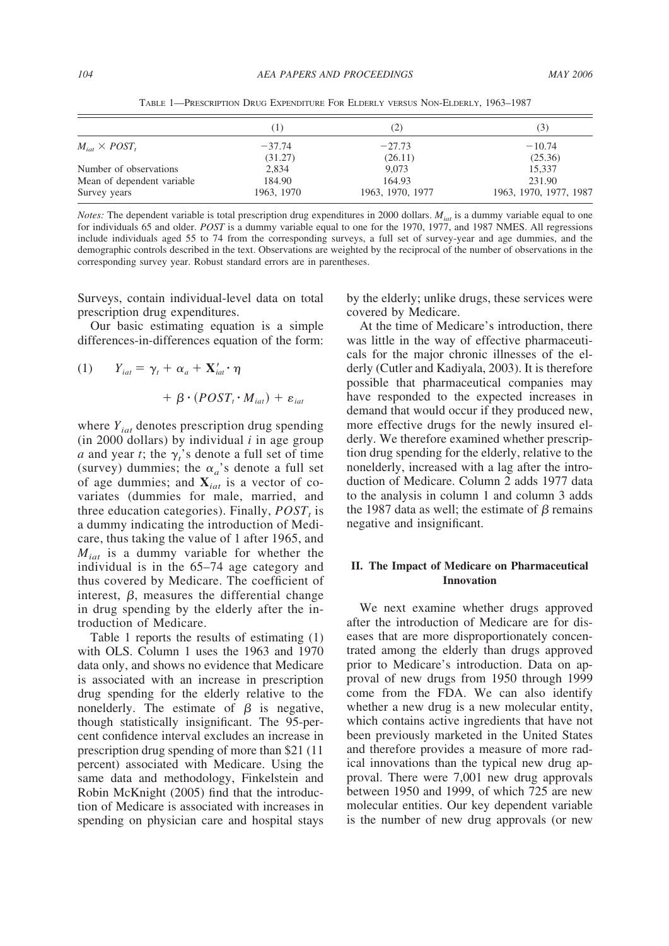|                             | (1)        | (2)              | (3)                    |
|-----------------------------|------------|------------------|------------------------|
| $M_{\rm int} \times POST$ , | $-37.74$   | $-27.73$         | $-10.74$               |
|                             | (31.27)    | (26.11)          | (25.36)                |
| Number of observations      | 2.834      | 9.073            | 15.337                 |
| Mean of dependent variable  | 184.90     | 164.93           | 231.90                 |
| Survey years                | 1963, 1970 | 1963, 1970, 1977 | 1963, 1970, 1977, 1987 |

TABLE 1—PRESCRIPTION DRUG EXPENDITURE FOR ELDERLY VERSUS NON-ELDERLY, 1963–1987

*Notes:* The dependent variable is total prescription drug expenditures in 2000 dollars.  $M_{iat}$  is a dummy variable equal to one for individuals 65 and older. *POST* is a dummy variable equal to one for the 1970, 1977, and 1987 NMES. All regressions include individuals aged 55 to 74 from the corresponding surveys, a full set of survey-year and age dummies, and the demographic controls described in the text. Observations are weighted by the reciprocal of the number of observations in the corresponding survey year. Robust standard errors are in parentheses.

Surveys, contain individual-level data on total prescription drug expenditures.

Our basic estimating equation is a simple differences-in-differences equation of the form:

(1) 
$$
Y_{iat} = \gamma_t + \alpha_a + \mathbf{X}'_{iat} \cdot \eta
$$

$$
+ \beta \cdot (POST_t \cdot M_{iat}) + \varepsilon_{iat}
$$

where *Yiat* denotes prescription drug spending  $(in 2000$  dollars) by individual  $i$  in age group *a* and year *t*; the  $\gamma$ <sup>*'*</sup></sup> s denote a full set of time (survey) dummies; the  $\alpha_a$ 's denote a full set of age dummies; and **X***iat* is a vector of covariates (dummies for male, married, and three education categories). Finally,  $POST<sub>t</sub>$  is a dummy indicating the introduction of Medicare, thus taking the value of 1 after 1965, and *Miat* is a dummy variable for whether the individual is in the 65–74 age category and thus covered by Medicare. The coefficient of interest,  $\beta$ , measures the differential change in drug spending by the elderly after the introduction of Medicare.

Table 1 reports the results of estimating (1) with OLS. Column 1 uses the 1963 and 1970 data only, and shows no evidence that Medicare is associated with an increase in prescription drug spending for the elderly relative to the nonelderly. The estimate of  $\beta$  is negative, though statistically insignificant. The 95-percent confidence interval excludes an increase in prescription drug spending of more than \$21 (11 percent) associated with Medicare. Using the same data and methodology, Finkelstein and Robin McKnight (2005) find that the introduction of Medicare is associated with increases in spending on physician care and hospital stays by the elderly; unlike drugs, these services were covered by Medicare.

At the time of Medicare's introduction, there was little in the way of effective pharmaceuticals for the major chronic illnesses of the elderly (Cutler and Kadiyala, 2003). It is therefore possible that pharmaceutical companies may have responded to the expected increases in demand that would occur if they produced new, more effective drugs for the newly insured elderly. We therefore examined whether prescription drug spending for the elderly, relative to the nonelderly, increased with a lag after the introduction of Medicare. Column 2 adds 1977 data to the analysis in column 1 and column 3 adds the 1987 data as well; the estimate of  $\beta$  remains negative and insignificant.

## **II. The Impact of Medicare on Pharmaceutical Innovation**

We next examine whether drugs approved after the introduction of Medicare are for diseases that are more disproportionately concentrated among the elderly than drugs approved prior to Medicare's introduction. Data on approval of new drugs from 1950 through 1999 come from the FDA. We can also identify whether a new drug is a new molecular entity, which contains active ingredients that have not been previously marketed in the United States and therefore provides a measure of more radical innovations than the typical new drug approval. There were 7,001 new drug approvals between 1950 and 1999, of which 725 are new molecular entities. Our key dependent variable is the number of new drug approvals (or new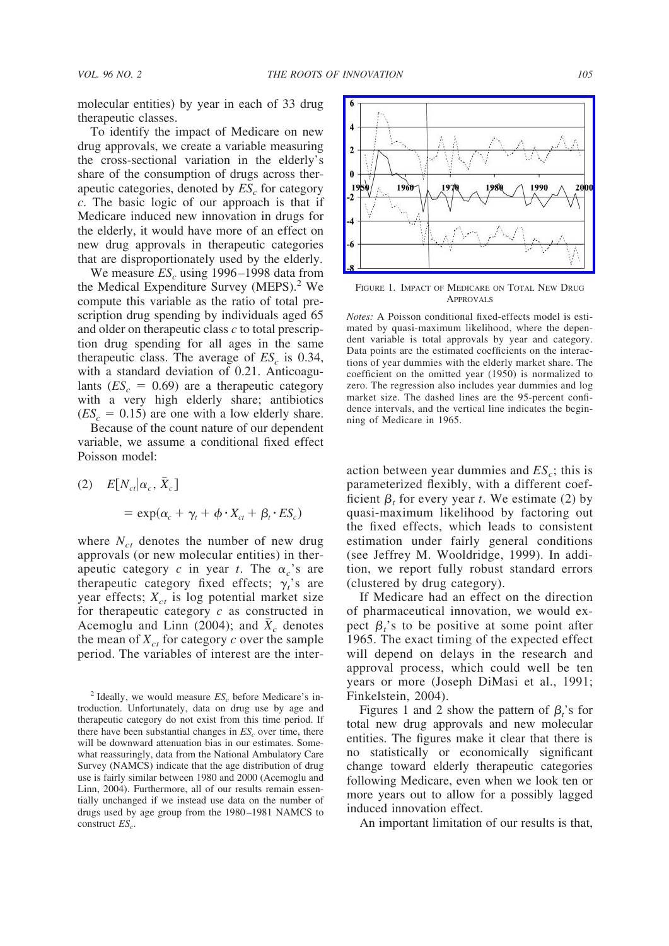molecular entities) by year in each of 33 drug therapeutic classes.

To identify the impact of Medicare on new drug approvals, we create a variable measuring the cross-sectional variation in the elderly's share of the consumption of drugs across therapeutic categories, denoted by  $ES<sub>c</sub>$  for category *c*. The basic logic of our approach is that if Medicare induced new innovation in drugs for the elderly, it would have more of an effect on new drug approvals in therapeutic categories that are disproportionately used by the elderly.

We measure  $ES_c$  using 1996–1998 data from the Medical Expenditure Survey (MEPS).<sup>2</sup> We compute this variable as the ratio of total prescription drug spending by individuals aged 65 and older on therapeutic class *c* to total prescription drug spending for all ages in the same therapeutic class. The average of  $ES<sub>c</sub>$  is 0.34, with a standard deviation of 0.21. Anticoagulants  $(ES<sub>c</sub> = 0.69)$  are a therapeutic category with a very high elderly share; antibiotics  $(ES<sub>c</sub> = 0.15)$  are one with a low elderly share.

Because of the count nature of our dependent variable, we assume a conditional fixed effect Poisson model:

(2)  $E[N_{ct}|\alpha_c, \bar{X}_c]$  $= \exp(\alpha_c + \gamma_t + \phi \cdot X_{ct} + \beta_t \cdot ES_c)$ 

where  $N_{ct}$  denotes the number of new drug approvals (or new molecular entities) in therapeutic category *c* in year *t*. The  $\alpha_c$ 's are therapeutic category fixed effects;  $\gamma_i$ 's are year effects;  $X_{ct}$  is log potential market size for therapeutic category *c* as constructed in Acemoglu and Linn  $(2004)$ ; and  $X_c$  denotes the mean of  $X_{ct}$  for category  $c$  over the sample period. The variables of interest are the inter-



FIGURE 1. IMPACT OF MEDICARE ON TOTAL NEW DRUG APPROVALS

*Notes:* A Poisson conditional fixed-effects model is estimated by quasi-maximum likelihood, where the dependent variable is total approvals by year and category. Data points are the estimated coefficients on the interactions of year dummies with the elderly market share. The coefficient on the omitted year (1950) is normalized to zero. The regression also includes year dummies and log market size. The dashed lines are the 95-percent confidence intervals, and the vertical line indicates the beginning of Medicare in 1965.

action between year dummies and  $ES_c$ ; this is parameterized flexibly, with a different coefficient  $\beta_t$  for every year *t*. We estimate (2) by quasi-maximum likelihood by factoring out the fixed effects, which leads to consistent estimation under fairly general conditions (see Jeffrey M. Wooldridge, 1999). In addition, we report fully robust standard errors (clustered by drug category).

If Medicare had an effect on the direction of pharmaceutical innovation, we would expect  $\beta_i$ 's to be positive at some point after 1965. The exact timing of the expected effect will depend on delays in the research and approval process, which could well be ten years or more (Joseph DiMasi et al., 1991; Finkelstein, 2004).

Figures 1 and 2 show the pattern of  $\beta_t$ 's for total new drug approvals and new molecular entities. The figures make it clear that there is no statistically or economically significant change toward elderly therapeutic categories following Medicare, even when we look ten or more years out to allow for a possibly lagged induced innovation effect.

An important limitation of our results is that,

 $2$  Ideally, we would measure  $ES<sub>c</sub>$  before Medicare's introduction. Unfortunately, data on drug use by age and therapeutic category do not exist from this time period. If there have been substantial changes in *ES<sub>c</sub>* over time, there will be downward attenuation bias in our estimates. Somewhat reassuringly, data from the National Ambulatory Care Survey (NAMCS) indicate that the age distribution of drug use is fairly similar between 1980 and 2000 (Acemoglu and Linn, 2004). Furthermore, all of our results remain essentially unchanged if we instead use data on the number of drugs used by age group from the 1980 –1981 NAMCS to construct *ES*<sub>c</sub>.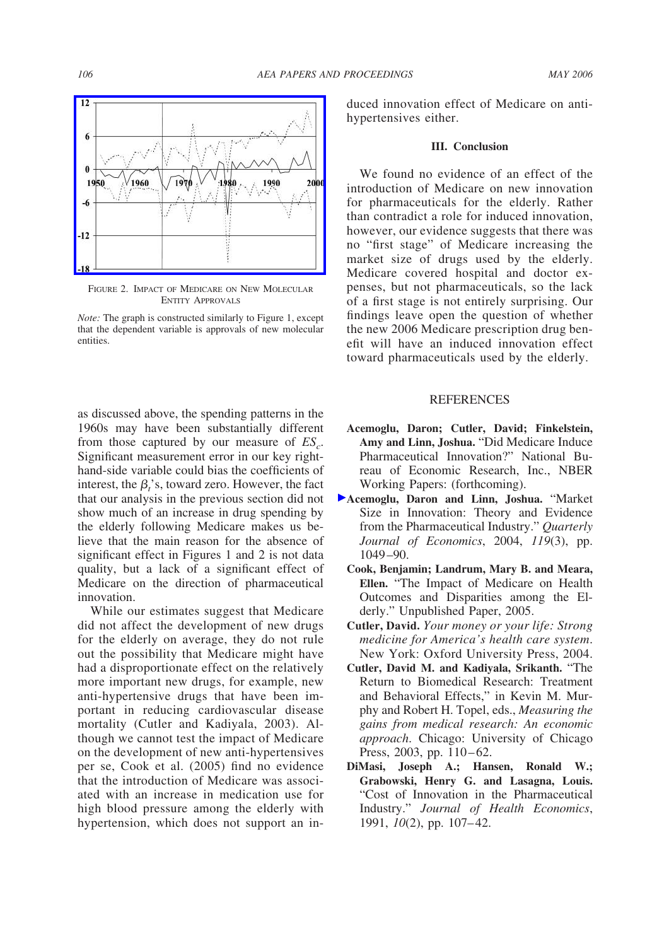

FIGURE 2. IMPACT OF MEDICARE ON NEW MOLECULAR ENTITY APPROVALS

*Note:* The graph is constructed similarly to Figure 1, except that the dependent variable is approvals of new molecular entities.

as discussed above, the spending patterns in the 1960s may have been substantially different from those captured by our measure of  $ES_c$ . Significant measurement error in our key righthand-side variable could bias the coefficients of interest, the  $\beta_i$ 's, toward zero. However, the fact that our analysis in the previous section did not show much of an increase in drug spending by the elderly following Medicare makes us believe that the main reason for the absence of significant effect in Figures 1 and 2 is not data quality, but a lack of a significant effect of Medicare on the direction of pharmaceutical innovation.

While our estimates suggest that Medicare did not affect the development of new drugs for the elderly on average, they do not rule out the possibility that Medicare might have had a disproportionate effect on the relatively more important new drugs, for example, new anti-hypertensive drugs that have been important in reducing cardiovascular disease mortality (Cutler and Kadiyala, 2003). Although we cannot test the impact of Medicare on the development of new anti-hypertensives per se, Cook et al. (2005) find no evidence that the introduction of Medicare was associated with an increase in medication use for high blood pressure among the elderly with hypertension, which does not support an induced innovation effect of Medicare on antihypertensives either.

## **III. Conclusion**

We found no evidence of an effect of the introduction of Medicare on new innovation for pharmaceuticals for the elderly. Rather than contradict a role for induced innovation, however, our evidence suggests that there was no "first stage" of Medicare increasing the market size of drugs used by the elderly. Medicare covered hospital and doctor expenses, but not pharmaceuticals, so the lack of a first stage is not entirely surprising. Our findings leave open the question of whether the new 2006 Medicare prescription drug benefit will have an induced innovation effect toward pharmaceuticals used by the elderly.

#### REFERENCES

- **Acemoglu, Daron; Cutler, David; Finkelstein, Amy and Linn, Joshua.** "Did Medicare Induce Pharmaceutical Innovation?" National Bureau of Economic Research, Inc., NBER Working Papers: (forthcoming).
- **[A](http://pubs.aeaweb.org/action/showLinks?doi=10.1257%2F000282806777211766&crossref=10.1162%2F0033553041502144&citationId=p_2)cemoglu, Daron and Linn, Joshua.** "Market Size in Innovation: Theory and Evidence from the Pharmaceutical Industry." *Quarterly Journal of Economics*, 2004, *119*(3), pp. 1049 –90.
	- **Cook, Benjamin; Landrum, Mary B. and Meara, Ellen.** "The Impact of Medicare on Health Outcomes and Disparities among the Elderly." Unpublished Paper, 2005.
	- **Cutler, David.** *Your money or your life: Strong medicine for America's health care system*. New York: Oxford University Press, 2004.
	- **Cutler, David M. and Kadiyala, Srikanth.** "The Return to Biomedical Research: Treatment and Behavioral Effects," in Kevin M. Murphy and Robert H. Topel, eds., *Measuring the gains from medical research: An economic approach*. Chicago: University of Chicago Press, 2003, pp.  $110 - 62$ .
	- **DiMasi, Joseph A.; Hansen, Ronald W.; Grabowski, Henry G. and Lasagna, Louis.** "Cost of Innovation in the Pharmaceutical Industry." *Journal of Health Economics*, 1991, *10*(2), pp. 107–42.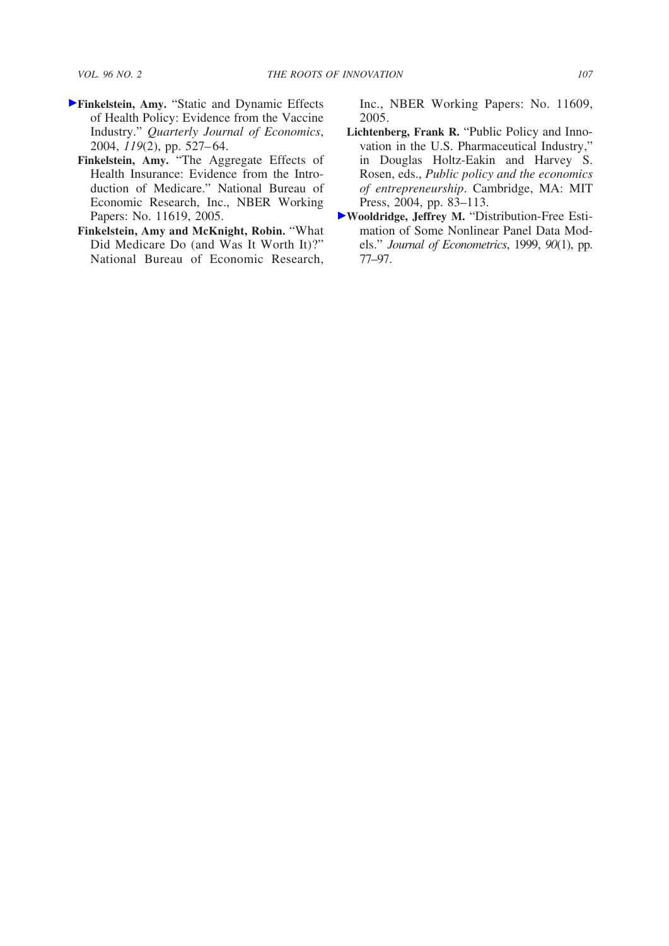- **[F](http://pubs.aeaweb.org/action/showLinks?doi=10.1257%2F000282806777211766&crossref=10.1162%2F0033553041382166&citationId=p_7)inkelstein, Amy.** "Static and Dynamic Effects of Health Policy: Evidence from the Vaccine Industry." *Quarterly Journal of Economics*, 2004, *119*(2), pp. 527– 64.
	- **Finkelstein, Amy.** "The Aggregate Effects of Health Insurance: Evidence from the Introduction of Medicare." National Bureau of Economic Research, Inc., NBER Working Papers: No. 11619, 2005.
	- **Finkelstein, Amy and McKnight, Robin.** "What Did Medicare Do (and Was It Worth It)?" National Bureau of Economic Research,

Inc., NBER Working Papers: No. 11609, 2005.

- **Lichtenberg, Frank R.** "Public Policy and Innovation in the U.S. Pharmaceutical Industry," in Douglas Holtz-Eakin and Harvey S. Rosen, eds., *Public policy and the economics of entrepreneurship*. Cambridge, MA: MIT Press, 2004, pp. 83–113.
- **[W](http://pubs.aeaweb.org/action/showLinks?doi=10.1257%2F000282806777211766&crossref=10.1016%2FS0304-4076%2898%2900033-5&citationId=p_11)ooldridge, Jeffrey M.** "Distribution-Free Estimation of Some Nonlinear Panel Data Models." *Journal of Econometrics*, 1999, *90*(1), pp. 77–97.